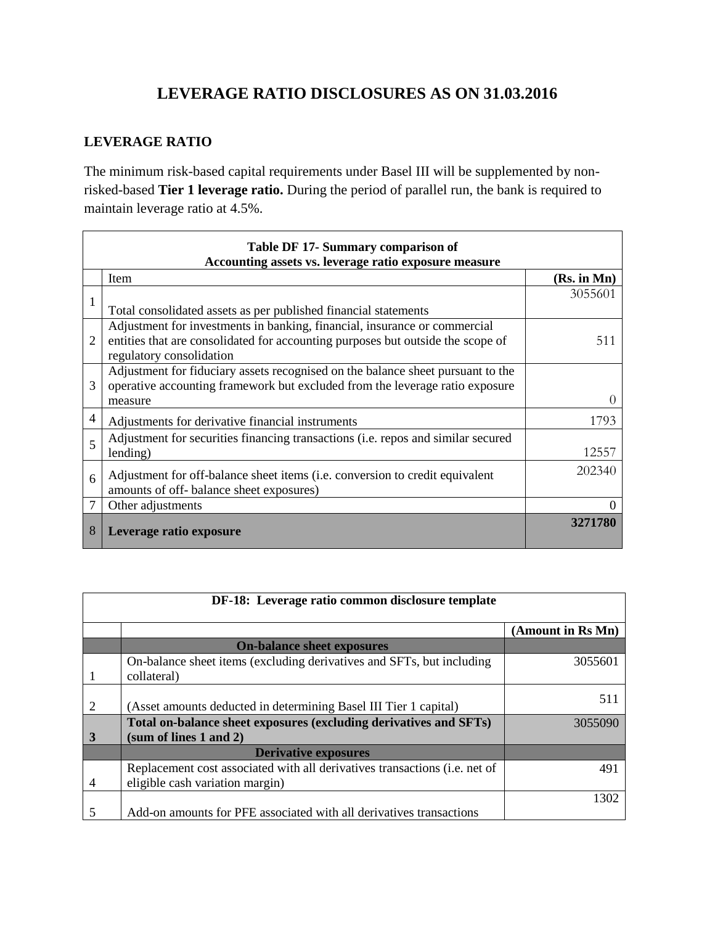## **LEVERAGE RATIO DISCLOSURES AS ON 31.03.2016**

### **LEVERAGE RATIO**

The minimum risk-based capital requirements under Basel III will be supplemented by nonrisked-based **Tier 1 leverage ratio.** During the period of parallel run, the bank is required to maintain leverage ratio at 4.5%.

| Table DF 17- Summary comparison of<br>Accounting assets vs. leverage ratio exposure measure |                                                                                                             |                  |  |  |
|---------------------------------------------------------------------------------------------|-------------------------------------------------------------------------------------------------------------|------------------|--|--|
|                                                                                             | Item                                                                                                        | (Rs. in Mn)      |  |  |
| 1                                                                                           |                                                                                                             | 3055601          |  |  |
|                                                                                             | Total consolidated assets as per published financial statements                                             |                  |  |  |
| $\overline{2}$                                                                              | Adjustment for investments in banking, financial, insurance or commercial                                   |                  |  |  |
|                                                                                             | entities that are consolidated for accounting purposes but outside the scope of<br>regulatory consolidation | 511              |  |  |
|                                                                                             | Adjustment for fiduciary assets recognised on the balance sheet pursuant to the                             |                  |  |  |
| 3                                                                                           | operative accounting framework but excluded from the leverage ratio exposure                                |                  |  |  |
|                                                                                             | measure                                                                                                     | $\left( \right)$ |  |  |
| $\overline{4}$                                                                              | Adjustments for derivative financial instruments                                                            | 1793             |  |  |
| 5                                                                                           | Adjustment for securities financing transactions (i.e. repos and similar secured                            |                  |  |  |
|                                                                                             | lending)                                                                                                    | 12557            |  |  |
| 6                                                                                           | Adjustment for off-balance sheet items (i.e. conversion to credit equivalent                                | 202340           |  |  |
|                                                                                             | amounts of off-balance sheet exposures)                                                                     |                  |  |  |
| 7                                                                                           | Other adjustments                                                                                           | $\theta$         |  |  |
| 8                                                                                           | Leverage ratio exposure                                                                                     | 3271780          |  |  |

| DF-18: Leverage ratio common disclosure template |                                                                                                               |                   |  |
|--------------------------------------------------|---------------------------------------------------------------------------------------------------------------|-------------------|--|
|                                                  |                                                                                                               | (Amount in Rs Mn) |  |
|                                                  | <b>On-balance sheet exposures</b>                                                                             |                   |  |
|                                                  | On-balance sheet items (excluding derivatives and SFTs, but including<br>collateral)                          | 3055601           |  |
| 2                                                | (Asset amounts deducted in determining Basel III Tier 1 capital)                                              | 511               |  |
| 3                                                | Total on-balance sheet exposures (excluding derivatives and SFTs)<br>(sum of lines $1$ and $2$ )              | 3055090           |  |
|                                                  | <b>Derivative exposures</b>                                                                                   |                   |  |
| 4                                                | Replacement cost associated with all derivatives transactions (i.e. net of<br>eligible cash variation margin) | 491               |  |
| 5                                                | Add-on amounts for PFE associated with all derivatives transactions                                           | 1302              |  |